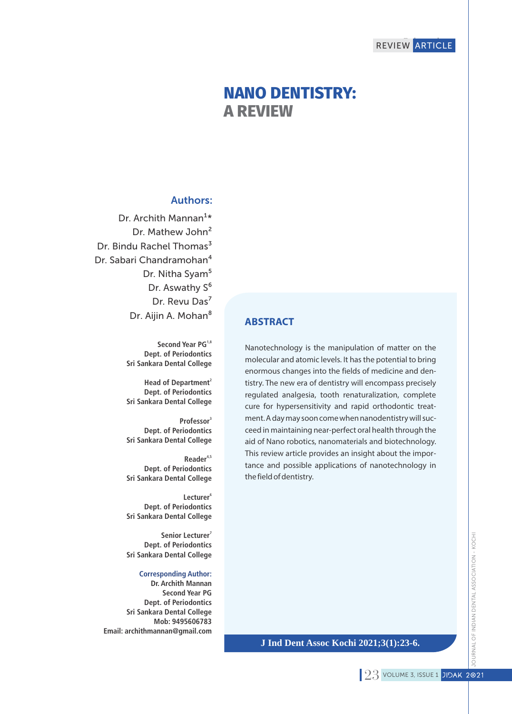# **NANO DENTISTRY: A REVIEW**

## Authors:

Dr. Archith Mannan<sup>1\*</sup> Dr. Mathew John<sup>2</sup> Dr. Bindu Rachel Thomas<sup>3</sup> Dr. Sabari Chandramohan<sup>4</sup> Dr. Nitha Syam<sup>5</sup> Dr. Aswathy S<sup>6</sup> Dr. Revu Das<sup>7</sup> Dr. Aijin A. Mohan<sup>8</sup>

> **1,8 Second Year PG Dept. of Periodontics Sri Sankara Dental College**

> **2 Head of Department Dept. of Periodontics Sri Sankara Dental College**

> **3 Professor Dept. of Periodontics Sri Sankara Dental College**

> **4,5 Reader Dept. of Periodontics Sri Sankara Dental College**

> **6 Lecturer Dept. of Periodontics Sri Sankara Dental College**

**7 Senior Lecturer Dept. of Periodontics Sri Sankara Dental College** 

#### **Corresponding Author:**

**Dr. Archith Mannan Second Year PG Dept. of Periodontics Sri Sankara Dental College Mob: 9495606783 Email: archithmannan@gmail.com**

## **ABSTRACT**

Nanotechnology is the manipulation of matter on the molecular and atomic levels. It has the potential to bring enormous changes into the fields of medicine and dentistry. The new era of dentistry will encompass precisely regulated analgesia, tooth renaturalization, complete cure for hypersensitivity and rapid orthodontic treatment. A day may soon come when nanodentistry will succeed in maintaining near-perfect oral health through the aid of Nano robotics, nanomaterials and biotechnology. This review article provides an insight about the importance and possible applications of nanotechnology in the field of dentistry.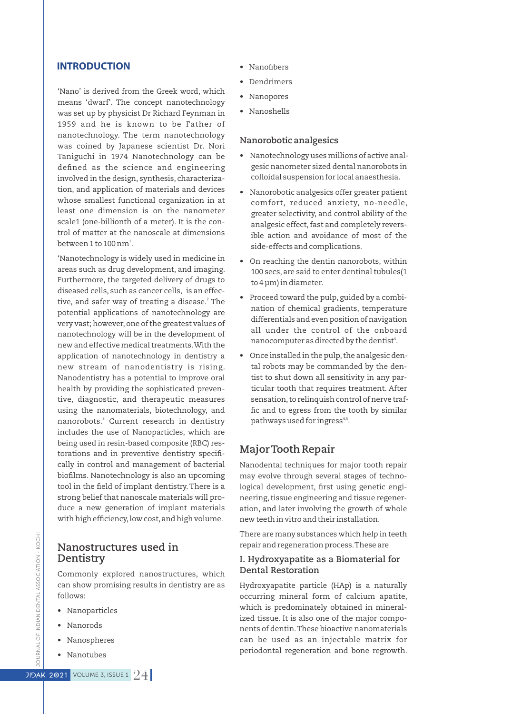## **INTRODUCTION**

'Nano' is derived from the Greek word, which means 'dwarf'. The concept nanotechnology was set up by physicist Dr Richard Feynman in 1959 and he is known to be Father of nanotechnology. The term nanotechnology was coined by Japanese scientist Dr. Nori Taniguchi in 1974 Nanotechnology can be defined as the science and engineering involved in the design, synthesis, characterization, and application of materials and devices whose smallest functional organization in at least one dimension is on the nanometer scale1 (one-billionth of a meter). It is the control of matter at the nanoscale at dimensions between 1 to  $100 \,\mathrm{nm}^1$ .

'Nanotechnology is widely used in medicine in areas such as drug development, and imaging. Furthermore, the targeted delivery of drugs to diseased cells, such as cancer cells, is an effective, and safer way of treating a disease.<sup>2</sup> The potential applications of nanotechnology are very vast; however,one of the greatest values of nanotechnology will be in the development of new and effective medical treatments.With the application of nanotechnology in dentistry a new stream of nanodentistry is rising. Nanodentistry has a potential to improve oral health by providing the sophisticated preventive, diagnostic, and therapeutic measures using the nanomaterials, biotechnology, and nanorobots.<sup>3</sup> Current research in dentistry includes the use of Nanoparticles, which are being used in resin-based composite (RBC) restorations and in preventive dentistry specifically in control and management of bacterial biofilms. Nanotechnology is also an upcoming tool in the field of implant dentistry. There is a strong belief that nanoscale materials will produce a new generation of implant materials with high efficiency, low cost, and high volume.

## **Nanostructures used in Dentistry**

Commonly explored nanostructures, which can show promising results in dentistry are as follows:

- Nanoparticles
- Nanorods
- Nanospheres
- Nanotubes
- Nanofibers
- Dendrimers
- Nanopores
- Nanoshells

#### **Nanorobotic analgesics**

- Nanotechnology uses millions of active analgesic nanometer sized dental nanorobots in colloidal suspension for local anaesthesia.
- Nanorobotic analgesics offer greater patient comfort, reduced anxiety, no-needle, greater selectivity, and control ability of the analgesic effect, fast and completely reversible action and avoidance of most of the side-effects and complications.
- On reaching the dentin nanorobots, within 100 secs, are said to enter dentinal tubules(1 to 4 μm) in diameter.
- Proceed toward the pulp, guided by a combination of chemical gradients, temperature differentials and even position of navigation all under the control of the onboard nanocomputer as directed by the dentist<sup>4</sup>.
- Once installed in the pulp, the analgesic dental robots may be commanded by the dentist to shut down all sensitivity in any particular tooth that requires treatment. After sensation, to relinquish control of nerve traffic and to egress from the tooth by similar pathways used for ingress<sup>4,5</sup>.

## **Major Tooth Repair**

Nanodental techniques for major tooth repair may evolve through several stages of technological development, first using genetic engineering, tissue engineering and tissue regeneration, and later involving the growth of whole new teeth in vitro and their installation.

There are many substances which help in teeth repair and regeneration process.These are

## **I. Hydroxyapatite as a Biomaterial for Dental Restoration**

Hydroxyapatite particle (HAp) is a naturally occurring mineral form of calcium apatite, which is predominately obtained in mineralized tissue. It is also one of the major components of dentin.These bioactive nanomaterials can be used as an injectable matrix for periodontal regeneration and bone regrowth.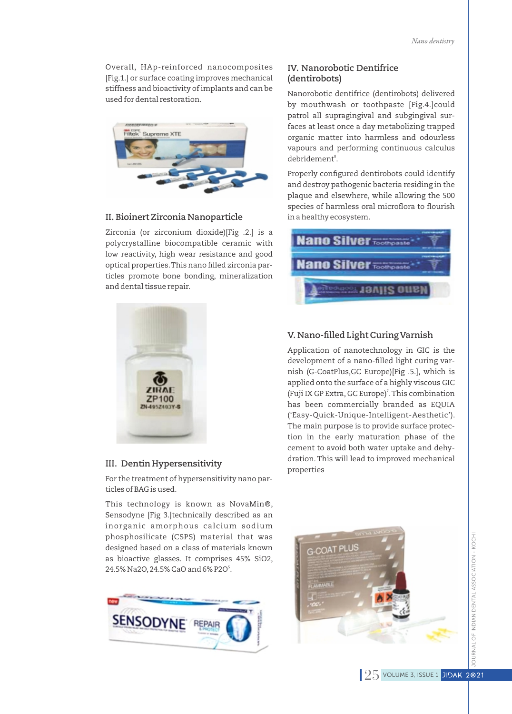Overall, HAp-reinforced nanocomposites [Fig.1.] or surface coating improves mechanical stiffness and bioactivity of implants and can be used for dental restoration.



#### **II. Bioinert Zirconia Nanoparticle**

Zirconia (or zirconium dioxide)[Fig .2.] is a polycrystalline biocompatible ceramic with low reactivity, high wear resistance and good optical properties. This nano filled zirconia particles promote bone bonding, mineralization and dental tissue repair.



#### **III. Dentin Hypersensitivity**

For the treatment of hypersensitivity nano particles of BAG is used.

This technology is known as NovaMin®, Sensodyne [Fig 3.]technically described as an inorganic amorphous calcium sodium phosphosilicate (CSPS) material that was designed based on a class of materials known as bioactive glasses. It comprises 45% SiO2, 24.5% Na2O, 24.5% CaO and 6% P2O<sup>5</sup>.



## **IV. Nanorobotic Dentifrice (dentirobots)**

Nanorobotic dentifrice (dentirobots) delivered by mouthwash or toothpaste [Fig.4.]could patrol all supragingival and subgingival surfaces at least once a day metabolizing trapped organic matter into harmless and odourless vapours and performing continuous calculus debridement<sup>®</sup>.

Properly configured dentirobots could identify and destroy pathogenic bacteria residing in the plaque and elsewhere, while allowing the 500 species of harmless oral microflora to flourish in a healthy ecosystem.



### **V. Nano-filled Light Curing Varnish**

Application of nanotechnology in GIC is the development of a nano-filled light curing varnish (G-CoatPlus,GC Europe)[Fig .5.], which is applied onto the surface of a highly viscous GIC (Fuji IX GP Extra, GC Europe)<sup>7</sup>. This combination has been commercially branded as EQUIA ('Easy-Quick-Unique-Intelligent-Aesthetic'). The main purpose is to provide surface protection in the early maturation phase of the cement to avoid both water uptake and dehydration.This will lead to improved mechanical properties